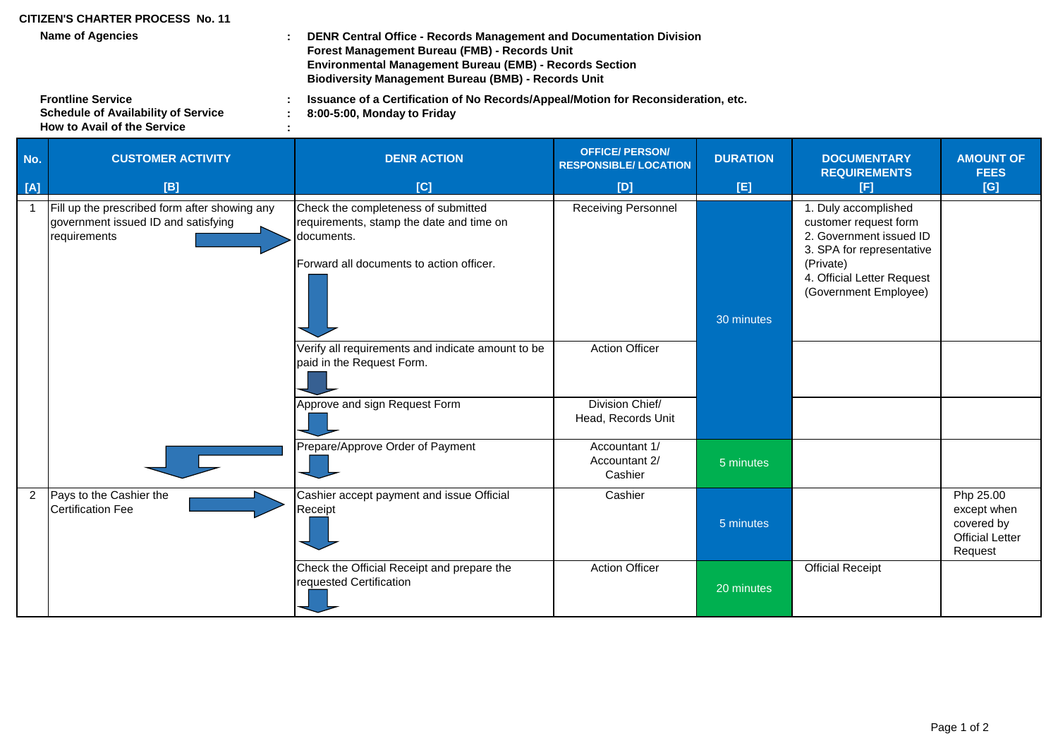## **CITIZEN'S CHARTER PROCESS No. 11**

**Name of Agencies**

**: DENR Central Office - Records Management and Documentation Division Forest Management Bureau (FMB) - Records Unit Environmental Management Bureau (EMB) - Records Section Biodiversity Management Bureau (BMB) - Records Unit**

**Issuance of a Certification of No Records/Appeal/Motion for Reconsideration, etc.**

**How to Avail of the Service Frontline Service Schedule of Availability of Service** **: : :**

**8:00-5:00, Monday to Friday**

**No. DENR ACTION DURATION DOCUMENTARY AMOUNT OF CUSTOMER ACTIVITY REQUIREMENTS FEES [A] [C] [D] [E] [F] [G]** Check the completeness of submitted requirements, stamp the date and time on documents. Receiving Personnel **1. Duly accomplished** customer request form 2. Government issued ID 3. SPA for representative Forward all documents to action officer. (Private) and the state of the state of the state of the state of the state of the state of the state of the state of the state of the state of the state of the state of the state o 4. Official Letter Request (Government Employee) Verify all requirements and indicate amount to be paid in the Request Form. Action Officer Approve and sign Request Form Prepare/Approve Order of Payment Cashier accept payment and issue Official Receipt **Cashier** Check the Official Receipt and prepare the requested Certification Action Officer **Container Action Official Receipt** 20 minutes **OFFICE/ PERSON/ RESPONSIBLE/ LOCATION** Fill up the prescribed form after showing any government issued ID and satisfying requirements 2 Pays to the Cashier the Certification Fee 1 30 minutes Division Chief/ Head, Records Unit Accountant 1/ Accountant 2/ **Cashier** 5 minutes 5 minutes Php 25.00 except when covered by Official Letter Request **[B]**